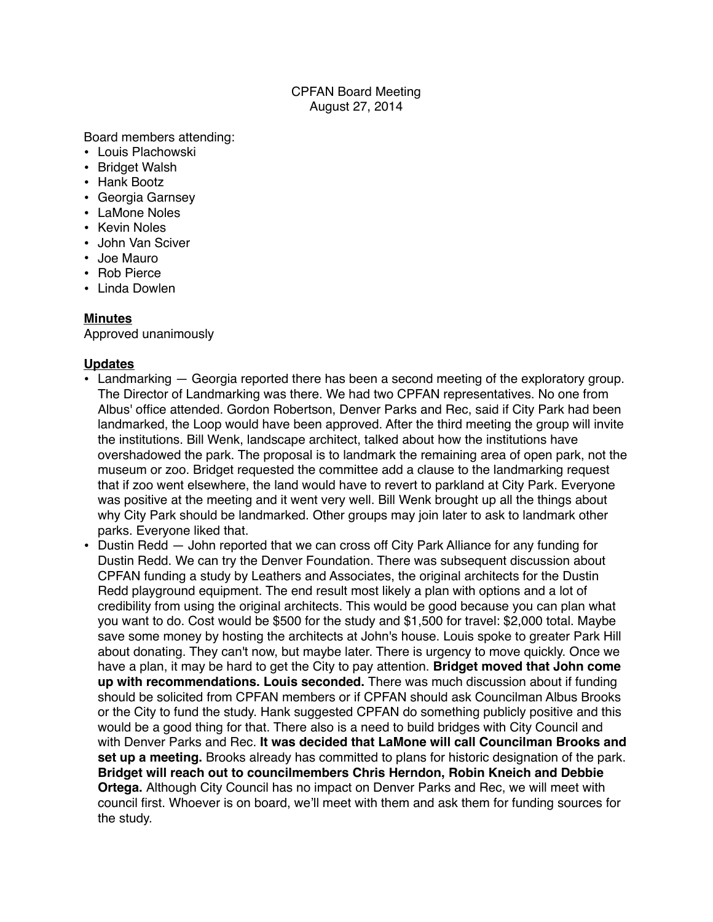## CPFAN Board Meeting August 27, 2014

Board members attending:

- Louis Plachowski
- Bridget Walsh
- Hank Bootz
- Georgia Garnsey
- LaMone Noles
- Kevin Noles
- John Van Sciver
- Joe Mauro
- Rob Pierce
- Linda Dowlen

## **Minutes**

Approved unanimously

## **Updates**

- Landmarking Georgia reported there has been a second meeting of the exploratory group. The Director of Landmarking was there. We had two CPFAN representatives. No one from Albus' office attended. Gordon Robertson, Denver Parks and Rec, said if City Park had been landmarked, the Loop would have been approved. After the third meeting the group will invite the institutions. Bill Wenk, landscape architect, talked about how the institutions have overshadowed the park. The proposal is to landmark the remaining area of open park, not the museum or zoo. Bridget requested the committee add a clause to the landmarking request that if zoo went elsewhere, the land would have to revert to parkland at City Park. Everyone was positive at the meeting and it went very well. Bill Wenk brought up all the things about why City Park should be landmarked. Other groups may join later to ask to landmark other parks. Everyone liked that.
- Dustin Redd John reported that we can cross off City Park Alliance for any funding for Dustin Redd. We can try the Denver Foundation. There was subsequent discussion about CPFAN funding a study by Leathers and Associates, the original architects for the Dustin Redd playground equipment. The end result most likely a plan with options and a lot of credibility from using the original architects. This would be good because you can plan what you want to do. Cost would be \$500 for the study and \$1,500 for travel: \$2,000 total. Maybe save some money by hosting the architects at John's house. Louis spoke to greater Park Hill about donating. They can't now, but maybe later. There is urgency to move quickly. Once we have a plan, it may be hard to get the City to pay attention. **Bridget moved that John come up with recommendations. Louis seconded.** There was much discussion about if funding should be solicited from CPFAN members or if CPFAN should ask Councilman Albus Brooks or the City to fund the study. Hank suggested CPFAN do something publicly positive and this would be a good thing for that. There also is a need to build bridges with City Council and with Denver Parks and Rec. **It was decided that LaMone will call Councilman Brooks and set up a meeting.** Brooks already has committed to plans for historic designation of the park. **Bridget will reach out to councilmembers Chris Herndon, Robin Kneich and Debbie Ortega.** Although City Council has no impact on Denver Parks and Rec, we will meet with council first. Whoever is on board, we'll meet with them and ask them for funding sources for the study.